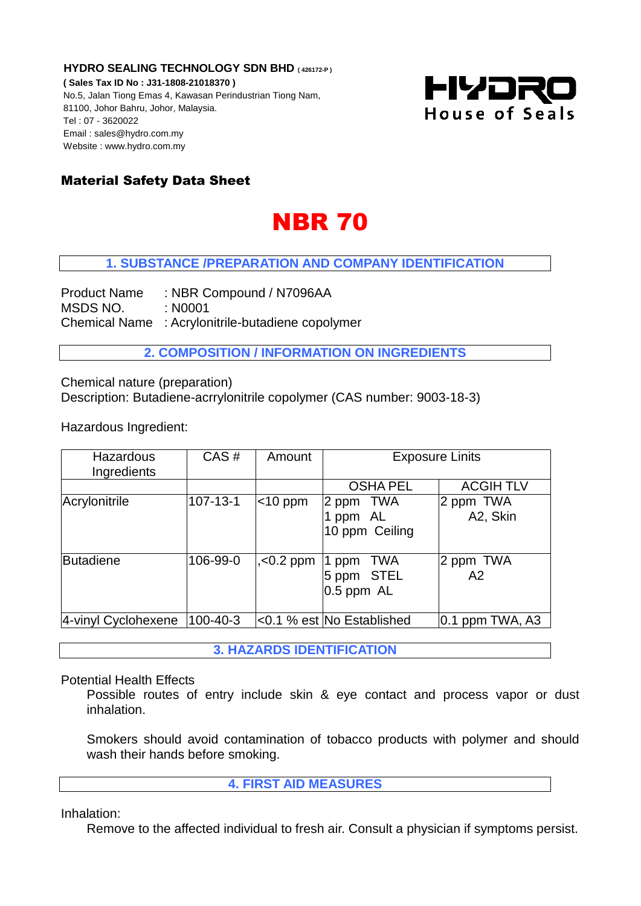**HYDRO SEALING TECHNOLOGY SDN BHD ( 426172-P )**

**( Sales Tax ID No : J31-1808-21018370 )** No.5, Jalan Tiong Emas 4, Kawasan Perindustrian Tiong Nam, 81100, Johor Bahru, Johor, Malaysia. Tel : 07 - 3620022 Email : sales@hydro.com.my Website : www.hydro.com.my



# Material Safety Data Sheet

# **NBR 70**

# **1. SUBSTANCE /PREPARATION AND COMPANY IDENTIFICATION**

Product Name : NBR Compound / N7096AA MSDS NO. : N0001 Chemical Name : Acrylonitrile-butadiene copolymer

**2. COMPOSITION / INFORMATION ON INGREDIENTS**

Chemical nature (preparation) Description: Butadiene-acrrylonitrile copolymer (CAS number: 9003-18-3)

Hazardous Ingredient:

| Hazardous<br>Ingredients | CAS#           | Amount        | <b>Exposure Linits</b>                       |                       |
|--------------------------|----------------|---------------|----------------------------------------------|-----------------------|
|                          |                |               | <b>OSHA PEL</b>                              | <b>ACGIH TLV</b>      |
| Acrylonitrile            | $107 - 13 - 1$ | $\leq 10$ ppm | 2 ppm TWA<br>ppm AL<br>10 ppm Ceiling        | 2 ppm TWA<br>A2, Skin |
| <b>Butadiene</b>         | 106-99-0       | $, < 0.2$ ppm | TWA<br>1 ppm<br>5 ppm STEL<br>$0.5$ ppm $AL$ | 2 ppm TWA<br>A2       |
| 4-vinyl Cyclohexene      | 100-40-3       |               | <0.1 % est No Established                    | $ 0.1$ ppm TWA, A3    |

**3. HAZARDS IDENTIFICATION** 

Potential Health Effects

Possible routes of entry include skin & eye contact and process vapor or dust inhalation.

Smokers should avoid contamination of tobacco products with polymer and should wash their hands before smoking.

**4. FIRST AID MEASURES**

Inhalation:

Remove to the affected individual to fresh air. Consult a physician if symptoms persist.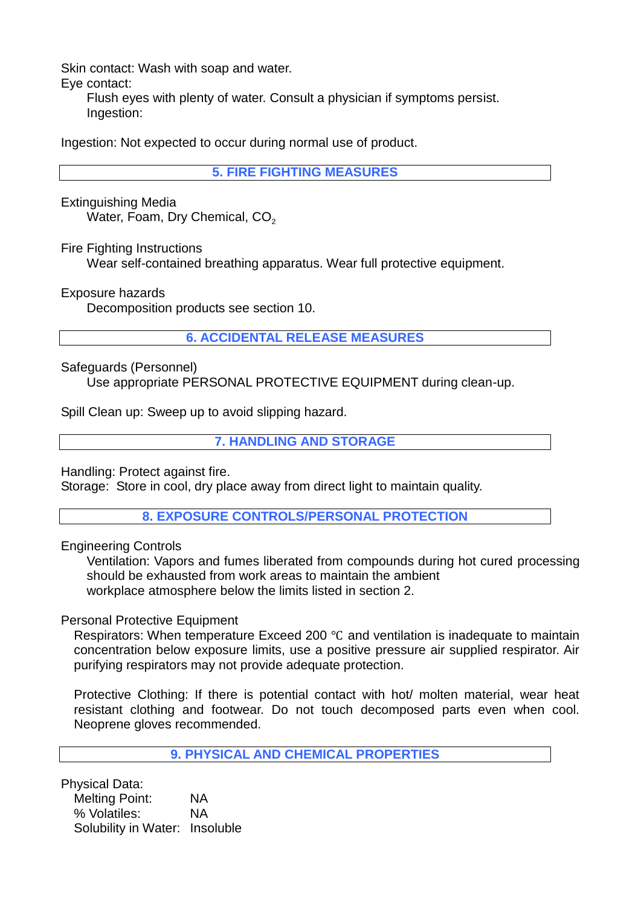Skin contact: Wash with soap and water.

Eye contact:

Flush eyes with plenty of water. Consult a physician if symptoms persist. Ingestion:

Ingestion: Not expected to occur during normal use of product.

**5. FIRE FIGHTING MEASURES**

Extinguishing Media Water, Foam, Dry Chemical,  $CO<sub>2</sub>$ 

Fire Fighting Instructions

Wear self-contained breathing apparatus. Wear full protective equipment.

Exposure hazards

Decomposition products see section 10.

**6. ACCIDENTAL RELEASE MEASURES**

Safeguards (Personnel)

Use appropriate PERSONAL PROTECTIVE EQUIPMENT during clean-up.

Spill Clean up: Sweep up to avoid slipping hazard.

**7. HANDLING AND STORAGE**

Handling: Protect against fire.

Storage: Store in cool, dry place away from direct light to maintain quality.

**8. EXPOSURE CONTROLS/PERSONAL PROTECTION**

Engineering Controls

Ventilation: Vapors and fumes liberated from compounds during hot cured processing should be exhausted from work areas to maintain the ambient workplace atmosphere below the limits listed in section 2.

Personal Protective Equipment

Respirators: When temperature Exceed 200 ℃ and ventilation is inadequate to maintain concentration below exposure limits, use a positive pressure air supplied respirator. Air purifying respirators may not provide adequate protection.

Protective Clothing: If there is potential contact with hot/ molten material, wear heat resistant clothing and footwear. Do not touch decomposed parts even when cool. Neoprene gloves recommended.

**9. PHYSICAL AND CHEMICAL PROPERTIES**

Physical Data:

Melting Point: NA % Volatiles: NA Solubility in Water: Insoluble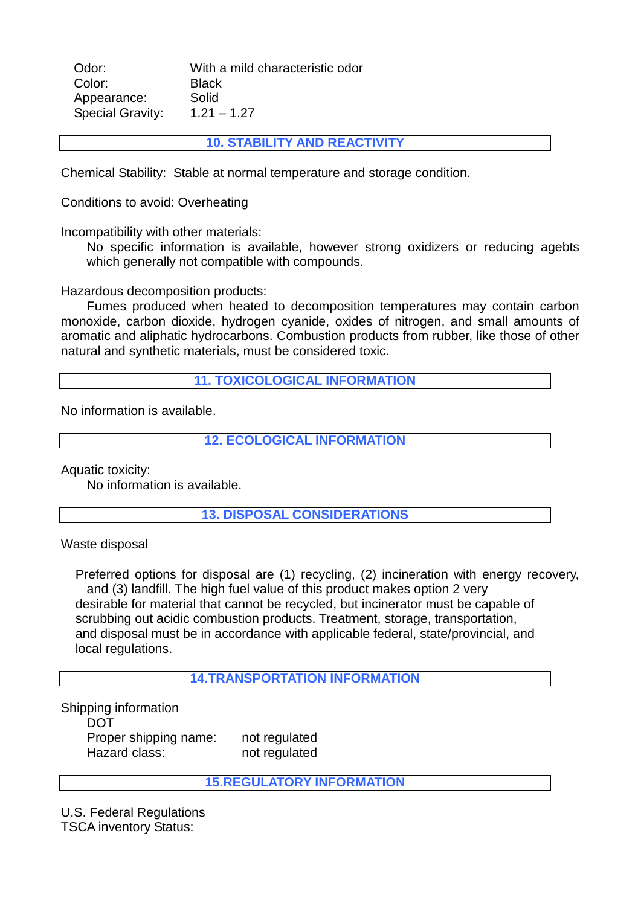| Odor:                   | With a mild characteristic odor |
|-------------------------|---------------------------------|
| Color:                  | <b>Black</b>                    |
| Appearance:             | Solid                           |
| <b>Special Gravity:</b> | $1.21 - 1.27$                   |

**10. STABILITY AND REACTIVITY** 

Chemical Stability: Stable at normal temperature and storage condition.

Conditions to avoid: Overheating

Incompatibility with other materials:

No specific information is available, however strong oxidizers or reducing agebts which generally not compatible with compounds.

Hazardous decomposition products:

Fumes produced when heated to decomposition temperatures may contain carbon monoxide, carbon dioxide, hydrogen cyanide, oxides of nitrogen, and small amounts of aromatic and aliphatic hydrocarbons. Combustion products from rubber, like those of other natural and synthetic materials, must be considered toxic.

**11. TOXICOLOGICAL INFORMATION** 

No information is available.

**12. ECOLOGICAL INFORMATION** 

Aquatic toxicity:

No information is available.

**13. DISPOSAL CONSIDERATIONS** 

Waste disposal

 Preferred options for disposal are (1) recycling, (2) incineration with energy recovery, and (3) landfill. The high fuel value of this product makes option 2 very desirable for material that cannot be recycled, but incinerator must be capable of scrubbing out acidic combustion products. Treatment, storage, transportation, and disposal must be in accordance with applicable federal, state/provincial, and local regulations.

**14.TRANSPORTATION INFORMATION** 

Shipping information DOT Proper shipping name: not regulated Hazard class: not regulated

#### **15.REGULATORY INFORMATION**

U.S. Federal Regulations TSCA inventory Status: